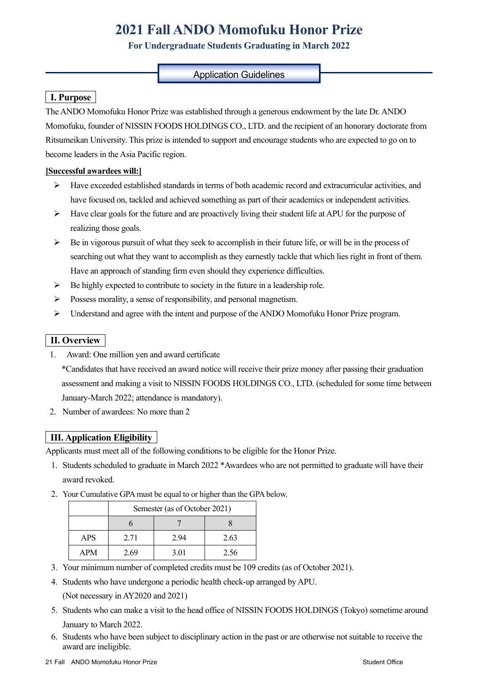# **2021 Fall ANDO Momofuku Honor Prize**

# **For Undergraduate Students Graduating in March 2022**

## Application Guidelines

# **I. Purpose**

The ANDO Momofuku Honor Prize was established through a generous endowment by the late Dr. ANDO Momofuku, founder of NISSIN FOODS HOLDINGS CO., LTD. and the recipient of an honorary doctorate from Ritsumeikan University. This prize is intended to support and encourage students who are expected to go on to become leaders in the Asia Pacific region.

### **[Successful awardees will:]**

- $\triangleright$  Have exceeded established standards in terms of both academic record and extracurricular activities, and have focused on, tackled and achieved something as part of their academics or independent activities.
- $\triangleright$  Have clear goals for the future and are proactively living their student life at APU for the purpose of realizing those goals.
- $\triangleright$  Be in vigorous pursuit of what they seek to accomplish in their future life, or will be in the process of searching out what they want to accomplish as they earnestly tackle that which lies right in front of them. Have an approach of standing firm even should they experience difficulties.
- $\triangleright$  Be highly expected to contribute to society in the future in a leadership role.
- Possess morality, a sense of responsibility, and personal magnetism.
- $\triangleright$  Understand and agree with the intent and purpose of the ANDO Momofuku Honor Prize program.

# **II. Overview**

1. Award: One million yen and award certificate

\*Candidates that have received an award notice will receive their prize money after passing their graduation assessment and making a visit to NISSIN FOODS HOLDINGS CO., LTD. (scheduled for some time between January-March 2022; attendance is mandatory).

2. Number of awardees: No more than 2

# **III. Application Eligibility**

Applicants must meet all of the following conditions to be eligible for the Honor Prize.

- 1. Students scheduled to graduate in March 2022 \*Awardees who are not permitted to graduate will have their award revoked.
- 2. Your Cumulative GPA must be equal to or higher than the GPA below.

|            | Semester (as of October 2021) |      |      |
|------------|-------------------------------|------|------|
|            |                               |      |      |
| <b>APS</b> | 2.71                          | 2.94 | 2.63 |
| <b>APM</b> | 2.69                          | 3.01 | 2.56 |

- 3. Your minimum number of completed credits must be 109 credits (as of October 2021).
- 4. Students who have undergone a periodic health check-up arranged by APU. (Not necessary in AY2020 and 2021)
- 5. Students who can make a visit to the head office of NISSIN FOODS HOLDINGS (Tokyo) sometime around January to March 2022.
- 6. Students who have been subject to disciplinary action in the past or are otherwise not suitable to receive the award are ineligible.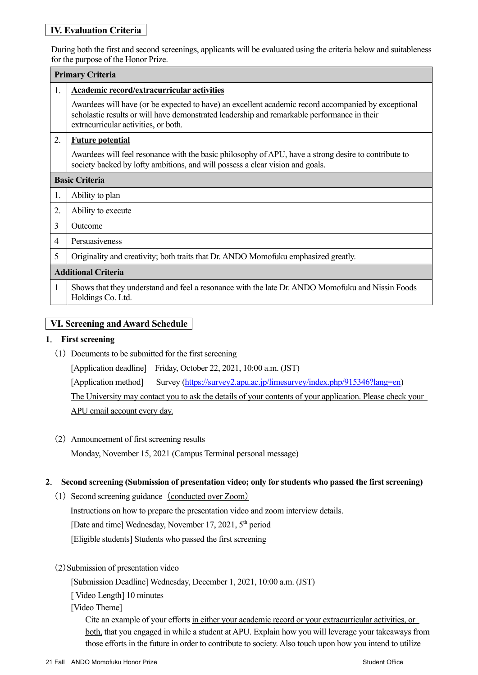# **IV. Evaluation Criteria**

During both the first and second screenings, applicants will be evaluated using the criteria below and suitableness for the purpose of the Honor Prize.

|                            | <b>Primary Criteria</b>                                                                                                                                                                                                                    |  |  |
|----------------------------|--------------------------------------------------------------------------------------------------------------------------------------------------------------------------------------------------------------------------------------------|--|--|
| 1.                         | <b>Academic record/extracurricular activities</b>                                                                                                                                                                                          |  |  |
|                            | Awardees will have (or be expected to have) an excellent academic record accompanied by exceptional<br>scholastic results or will have demonstrated leadership and remarkable performance in their<br>extracurricular activities, or both. |  |  |
| 2.                         | <b>Future potential</b>                                                                                                                                                                                                                    |  |  |
|                            | Awardees will feel resonance with the basic philosophy of APU, have a strong desire to contribute to<br>society backed by lofty ambitions, and will possess a clear vision and goals.                                                      |  |  |
| <b>Basic Criteria</b>      |                                                                                                                                                                                                                                            |  |  |
| 1.                         | Ability to plan                                                                                                                                                                                                                            |  |  |
| 2.                         | Ability to execute                                                                                                                                                                                                                         |  |  |
| 3                          | Outcome                                                                                                                                                                                                                                    |  |  |
| 4                          | Persuasiveness                                                                                                                                                                                                                             |  |  |
| 5                          | Originality and creativity; both traits that Dr. ANDO Momofuku emphasized greatly.                                                                                                                                                         |  |  |
| <b>Additional Criteria</b> |                                                                                                                                                                                                                                            |  |  |
| 1                          | Shows that they understand and feel a resonance with the late Dr. ANDO Momofuku and Nissin Foods<br>Holdings Co. Ltd.                                                                                                                      |  |  |

# **VI. Screening and Award Schedule**

#### **1**. **First screening**

(1) Documents to be submitted for the first screening

[Application deadline] Friday, October 22, 2021, 10:00 a.m. (JST)

[Application method] Survey (https://survey2.apu.ac.jp/limesurvey/index.php/915346?lang=en)

The University may contact you to ask the details of your contents of your application. Please check your APU email account every day.

(2) Announcement of first screening results Monday, November 15, 2021 (Campus Terminal personal message)

### **2**. **Second screening (Submission of presentation video; only for students who passed the first screening)**

- (1) Second screening guidance (conducted over Zoom) Instructions on how to prepare the presentation video and zoom interview details. [Date and time] Wednesday, November 17, 2021,  $5<sup>th</sup>$  period [Eligible students] Students who passed the first screening
- (2)Submission of presentation video

[Submission Deadline] Wednesday, December 1, 2021, 10:00 a.m. (JST)

[ Video Length] 10 minutes

[Video Theme]

Cite an example of your efforts in either your academic record or your extracurricular activities, or both, that you engaged in while a student at APU. Explain how you will leverage your takeaways from those efforts in the future in order to contribute to society. Also touch upon how you intend to utilize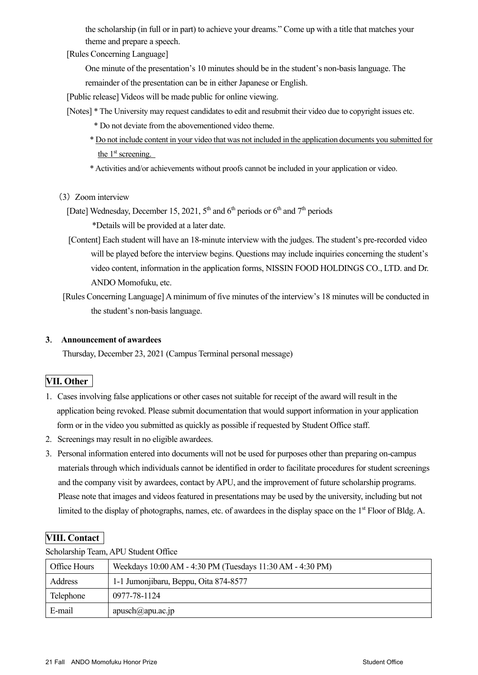the scholarship (in full or in part) to achieve your dreams." Come up with a title that matches your theme and prepare a speech.

[Rules Concerning Language]

One minute of the presentation's 10 minutes should be in the student's non-basis language. The remainder of the presentation can be in either Japanese or English.

[Public release] Videos will be made public for online viewing.

- [Notes] \* The University may request candidates to edit and resubmit their video due to copyright issues etc.
	- \* Do not deviate from the abovementioned video theme.
	- \* Do not include content in your video that was not included in the application documents you submitted for the  $1<sup>st</sup>$  screening.

\* Activities and/or achievements without proofs cannot be included in your application or video.

(3) Zoom interview

[Date] Wednesday, December 15, 2021,  $5<sup>th</sup>$  and  $6<sup>th</sup>$  periods or  $6<sup>th</sup>$  and  $7<sup>th</sup>$  periods

\*Details will be provided at a later date.

[Content] Each student will have an 18-minute interview with the judges. The student's pre-recorded video will be played before the interview begins. Questions may include inquiries concerning the student's video content, information in the application forms, NISSIN FOOD HOLDINGS CO., LTD. and Dr. ANDO Momofuku, etc.

[Rules Concerning Language] A minimum of five minutes of the interview's 18 minutes will be conducted in the student's non-basis language.

#### **3**. **Announcement of awardees**

Thursday, December 23, 2021 (Campus Terminal personal message)

### **VII. Other**

- 1. Cases involving false applications or other cases not suitable for receipt of the award will result in the application being revoked. Please submit documentation that would support information in your application form or in the video you submitted as quickly as possible if requested by Student Office staff.
- 2. Screenings may result in no eligible awardees.
- 3. Personal information entered into documents will not be used for purposes other than preparing on-campus materials through which individuals cannot be identified in order to facilitate procedures for student screenings and the company visit by awardees, contact by APU, and the improvement of future scholarship programs. Please note that images and videos featured in presentations may be used by the university, including but not limited to the display of photographs, names, etc. of awardees in the display space on the 1<sup>st</sup> Floor of Bldg. A.

### **VIII. Contact**

Scholarship Team, APU Student Office

| Office Hours | Weekdays 10:00 AM - 4:30 PM (Tuesdays 11:30 AM - 4:30 PM) |  |
|--------------|-----------------------------------------------------------|--|
| Address      | 1-1 Jumonjibaru, Beppu, Oita 874-8577                     |  |
| Telephone    | 0977-78-1124                                              |  |
| E-mail       | $apusch(\mathcal{Q}apu.ac.jp$                             |  |